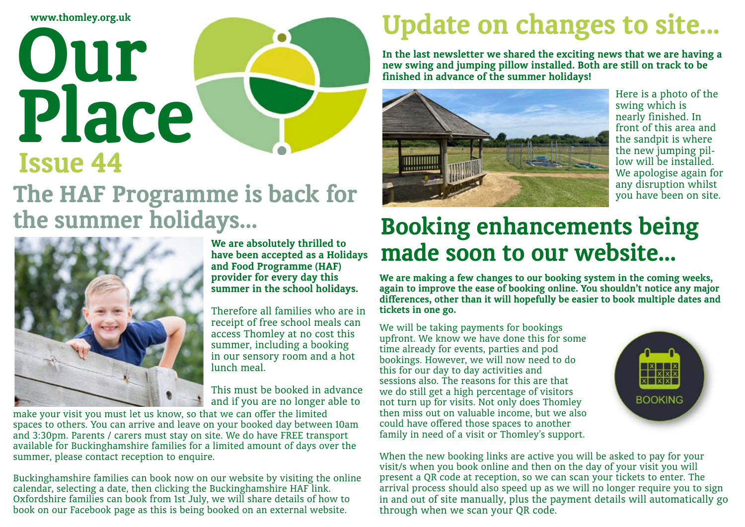**www.thomley.org.uk**

# **Issue 44 Our Place The HAF Programme is back for the summer holidays...**



**We are absolutely thrilled to have been accepted as a Holidays and Food Programme (HAF) provider for every day this summer in the school holidays.**

Therefore all families who are in receipt of free school meals can access Thomley at no cost this summer, including a booking in our sensory room and a hot lunch meal.

This must be booked in advance and if you are no longer able to

make your visit you must let us know, so that we can offer the limited spaces to others. You can arrive and leave on your booked day between 10am and 3:30pm. Parents / carers must stay on site. We do have FREE transport available for Buckinghamshire families for a limited amount of days over the summer, please contact reception to enquire.

Buckinghamshire families can book now on our website by visiting the online calendar, selecting a date, then clicking the Buckinghamshire HAF link. Oxfordshire families can book from 1st July, we will share details of how to book on our Facebook page as this is being booked on an external website.

### **Update on changes to site...**

**In the last newsletter we shared the exciting news that we are having a new swing and jumping pillow installed. Both are still on track to be finished in advance of the summer holidays!** 



### **Booking enhancements being made soon to our website...**

**We are making a few changes to our booking system in the coming weeks, again to improve the ease of booking online. You shouldn't notice any major differences, other than it will hopefully be easier to book multiple dates and tickets in one go.** 

We will be taking payments for bookings upfront. We know we have done this for some time already for events, parties and pod bookings. However, we will now need to do this for our day to day activities and sessions also. The reasons for this are that we do still get a high percentage of visitors not turn up for visits. Not only does Thomley then miss out on valuable income, but we also could have offered those spaces to another family in need of a visit or Thomley's support.

When the new booking links are active you will be asked to pay for your visit/s when you book online and then on the day of your visit you will present a QR code at reception, so we can scan your tickets to enter. The arrival process should also speed up as we will no longer require you to sign in and out of site manually, plus the payment details will automatically go through when we scan your QR code.

Here is a photo of the swing which is nearly finished. In front of this area and the sandpit is where the new jumping pillow will be installed. We apologise again for any disruption whilst you have been on site.

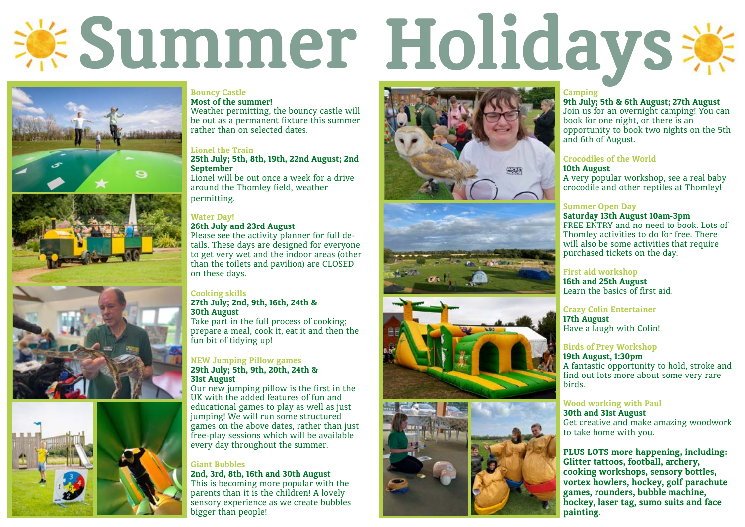









#### **Bouncy Castle**

Weather permitting, the bouncy castle will be out as a permanent fixture this summer rather than on selected dates.

**Most of the summer!**

#### **Lionel the Train**

#### **25th July; 5th, 8th, 19th, 22nd August; 2nd September**

Lionel will be out once a week for a drive around the Thomley field, weather permitting.

26th July and 23rd August<br> **Please see the activity planner for full de**tails. These days are designed for everyone to get very wet and the indoor areas (other than the toilets and pavilion) are CLOSED on these days.

#### **Water Day!**

#### **Cooking skills**

#### **27th July; 2nd, 9th, 16th, 24th & 30th August**

Take part in the full process of cooking; prepare a meal, cook it, eat it and then the fun bit of tidying up!

#### **NEW Jumping Pillow games**

#### **29th July; 5th, 9th, 20th, 24th & 31st August**

Our new jumping pillow is the first in the UK with the added features of fun and educational games to play as well as just jumping! We will run some structured games on the above dates, rather than just free-play sessions which will be available every day throughout the summer.

#### **Giant Bubbles**

**2nd, 3rd, 8th, 16th and 30th August** This is becoming more popular with the parents than it is the children! A lovely sensory experience as we create bubbles bigger than people!

**Camping 9th July; 5th & 6th August; 27th August** Join us for an overnight camping! You can book for one night, or there is an opportunity to book two nights on the 5th and 6th of August.

#### **Crocodiles of the World**

**10th August**  A very popular workshop, see a real baby crocodile and other reptiles at Thomley!

#### **Summer Open Day**

#### **Saturday 13th August 10am-3pm**

FREE ENTRY and no need to book. Lots of Thomley activities to do for free. There will also be some activities that require purchased tickets on the day.

#### **First aid workshop**

**16th and 25th August**  Learn the basics of first aid.

# **Summer Holidays**



#### **Crazy Colin Entertainer**

**17th August**  Have a laugh with Colin!

#### **Birds of Prey Workshop**

#### **19th August, 1:30pm**

A fantastic opportunity to hold, stroke and find out lots more about some very rare birds.

#### **Wood working with Paul**

**30th and 31st August**  Get creative and make amazing woodwork to take home with you.

**PLUS LOTS more happening, including: Glitter tattoos, football, archery, cooking workshops, sensory bottles, vortex howlers, hockey, golf parachute games, rounders, bubble machine, hockey, laser tag, sumo suits and face painting.**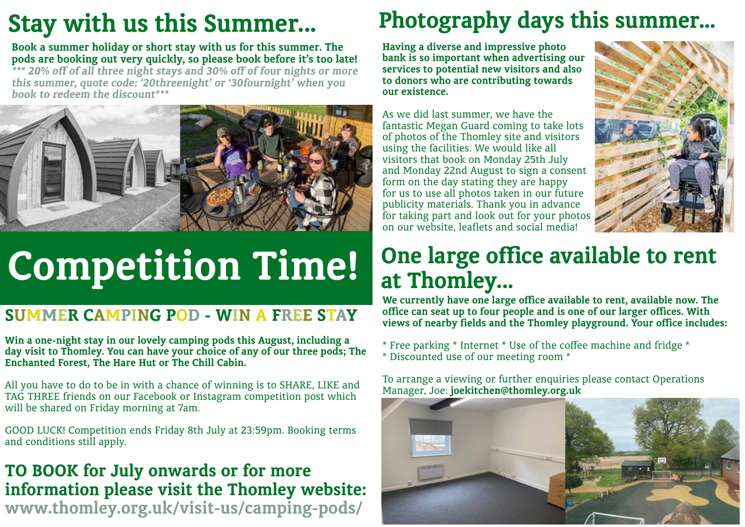**Having a diverse and impressive photo bank is so important when advertising our services to potential new visitors and also to donors who are contributing towards our existence.** 

As we did last summer, we have the fantastic Megan Guard coming to take lots of photos of the Thomley site and visitors using the facilities. We would like all visitors that book on Monday 25th July and Monday 22nd August to sign a consent form on the day stating they are happy for us to use all photos taken in our future publicity materials. Thank you in advance for taking part and look out for your photos on our website, leaflets and social media!

### **Photography days this summer...**

### **One large office available to rent at Thomley...**

**We currently have one large office available to rent, available now. The office can seat up to four people and is one of our larger offices. With views of nearby fields and the Thomley playground. Your office includes:**

\* Free parking \* Internet \* Use of the coffee machine and fridge \* \* Discounted use of our meeting room \*

To arrange a viewing or further enquiries please contact Operations Manager, Joe: **joekitchen@thomley.org.uk**





**Book a summer holiday or short stay with us for this summer. The pods are booking out very quickly, so please book before it's too late! \*\*\* 20% off of all three night stays and 30% off of four nights or more this summer, quote code: '20threenight' or '30fournight' when you book to redeem the discount\*\*\*** 



### **TO BOOK for July onwards or for more information please visit the Thomley website: www.thomley.org.uk/visit-us/camping-pods/**

### **Stay with us this Summer...**

# **Competition Time!**

### **SUMMER CAMPING POD - WIN A FREE STAY**

**Win a one-night stay in our lovely camping pods this August, including a day visit to Thomley. You can have your choice of any of our three pods; The Enchanted Forest, The Hare Hut or The Chill Cabin.** 

All you have to do to be in with a chance of winning is to SHARE, LIKE and TAG THREE friends on our Facebook or Instagram competition post which will be shared on Friday morning at 7am.

GOOD LUCK! Competition ends Friday 8th July at 23:59pm. Booking terms and conditions still apply.